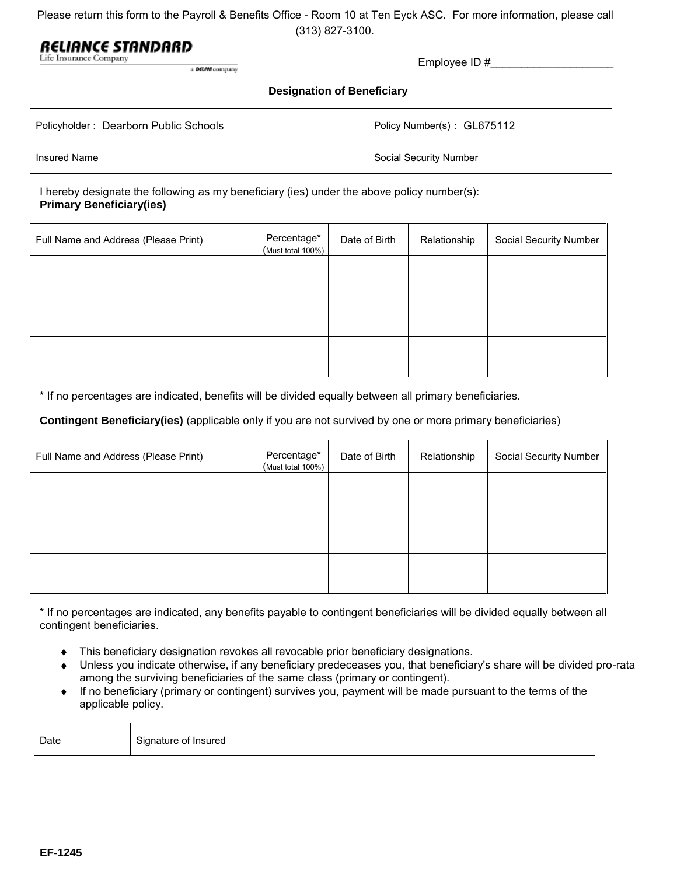Please return this form to the Payroll & Benefits Office - Room 10 at Ten Eyck ASC. For more information, please call

(313) 827-3100.

# RELIANCE STANDARD

| a <b>DELPHI</b> company |  |
|-------------------------|--|

| THE THORISTICE CONTINGER<br>a DELPM company | Employee ID $#$                   |  |  |
|---------------------------------------------|-----------------------------------|--|--|
|                                             | <b>Designation of Beneficiary</b> |  |  |
| Policyholder: Dearborn Public Schools       | Policy Number(s): GL675112        |  |  |
| Insured Name                                | Social Security Number            |  |  |

#### I hereby designate the following as my beneficiary (ies) under the above policy number(s): **Primary Beneficiary(ies)**

| Full Name and Address (Please Print) | Percentage*<br>(Must total 100%) | Date of Birth | Relationship | Social Security Number |
|--------------------------------------|----------------------------------|---------------|--------------|------------------------|
|                                      |                                  |               |              |                        |
|                                      |                                  |               |              |                        |
|                                      |                                  |               |              |                        |

\* If no percentages are indicated, benefits will be divided equally between all primary beneficiaries.

### **Contingent Beneficiary(ies)** (applicable only if you are not survived by one or more primary beneficiaries)

| Full Name and Address (Please Print) | Percentage*<br>(Must total 100%) | Date of Birth | Relationship | Social Security Number |
|--------------------------------------|----------------------------------|---------------|--------------|------------------------|
|                                      |                                  |               |              |                        |
|                                      |                                  |               |              |                        |
|                                      |                                  |               |              |                        |

\* If no percentages are indicated, any benefits payable to contingent beneficiaries will be divided equally between all contingent beneficiaries.

- This beneficiary designation revokes all revocable prior beneficiary designations.  $\bullet$
- Unless you indicate otherwise, if any beneficiary predeceases you, that beneficiary's share will be divided pro-rata among the surviving beneficiaries of the same class (primary or contingent).
- If no beneficiary (primary or contingent) survives you, payment will be made pursuant to the terms of the applicable policy.

| Date | Signature of Insured |
|------|----------------------|
|------|----------------------|